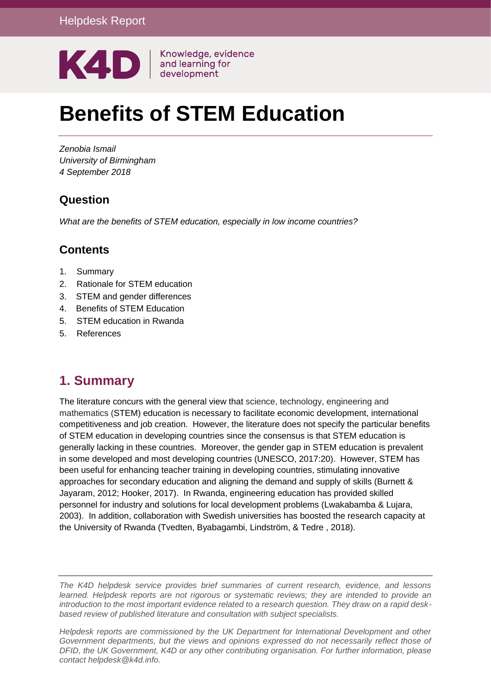

# **Benefits of STEM Education**

*Zenobia Ismail University of Birmingham 4 September 2018*

# **Question**

*What are the benefits of STEM education, especially in low income countries?* 

## **Contents**

- 1. [Summary](#page-0-0)
- 2. Rationale for STEM education
- 3. STEM and gender differences
- 4. Benefits of STEM Education
- 5. STEM education in Rwanda
- <span id="page-0-0"></span>5. References

# **1. Summary**

The literature concurs with the general view that science, technology, engineering and mathematics (STEM) education is necessary to facilitate economic development, international competitiveness and job creation. However, the literature does not specify the particular benefits of STEM education in developing countries since the consensus is that STEM education is generally lacking in these countries. Moreover, the gender gap in STEM education is prevalent in some developed and most developing countries (UNESCO, 2017:20). However, STEM has been useful for enhancing teacher training in developing countries, stimulating innovative approaches for secondary education and aligning the demand and supply of skills (Burnett & Jayaram, 2012; Hooker, 2017). In Rwanda, engineering education has provided skilled personnel for industry and solutions for local development problems (Lwakabamba & Lujara, 2003). In addition, collaboration with Swedish universities has boosted the research capacity at the University of Rwanda (Tvedten, Byabagambi, Lindström, & Tedre , 2018).

*The K4D helpdesk service provides brief summaries of current research, evidence, and lessons learned. Helpdesk reports are not rigorous or systematic reviews; they are intended to provide an introduction to the most important evidence related to a research question. They draw on a rapid deskbased review of published literature and consultation with subject specialists.* 

*Helpdesk reports are commissioned by the UK Department for International Development and other Government departments, but the views and opinions expressed do not necessarily reflect those of DFID, the UK Government, K4D or any other contributing organisation. For further information, please contact helpdesk@k4d.info.*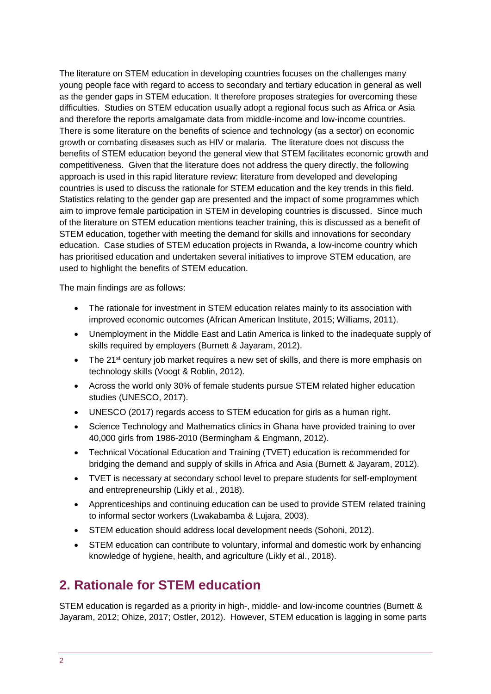The literature on STEM education in developing countries focuses on the challenges many young people face with regard to access to secondary and tertiary education in general as well as the gender gaps in STEM education. It therefore proposes strategies for overcoming these difficulties. Studies on STEM education usually adopt a regional focus such as Africa or Asia and therefore the reports amalgamate data from middle-income and low-income countries. There is some literature on the benefits of science and technology (as a sector) on economic growth or combating diseases such as HIV or malaria. The literature does not discuss the benefits of STEM education beyond the general view that STEM facilitates economic growth and competitiveness. Given that the literature does not address the query directly, the following approach is used in this rapid literature review: literature from developed and developing countries is used to discuss the rationale for STEM education and the key trends in this field. Statistics relating to the gender gap are presented and the impact of some programmes which aim to improve female participation in STEM in developing countries is discussed. Since much of the literature on STEM education mentions teacher training, this is discussed as a benefit of STEM education, together with meeting the demand for skills and innovations for secondary education. Case studies of STEM education projects in Rwanda, a low-income country which has prioritised education and undertaken several initiatives to improve STEM education, are used to highlight the benefits of STEM education.

The main findings are as follows:

- The rationale for investment in STEM education relates mainly to its association with improved economic outcomes (African American Institute, 2015; Williams, 2011).
- Unemployment in the Middle East and Latin America is linked to the inadequate supply of skills required by employers (Burnett & Jayaram, 2012).
- $\bullet$  The 21<sup>st</sup> century job market requires a new set of skills, and there is more emphasis on technology skills (Voogt & Roblin, 2012).
- Across the world only 30% of female students pursue STEM related higher education studies (UNESCO, 2017).
- UNESCO (2017) regards access to STEM education for girls as a human right.
- Science Technology and Mathematics clinics in Ghana have provided training to over 40,000 girls from 1986-2010 (Bermingham & Engmann, 2012).
- Technical Vocational Education and Training (TVET) education is recommended for bridging the demand and supply of skills in Africa and Asia (Burnett & Jayaram, 2012).
- TVET is necessary at secondary school level to prepare students for self-employment and entrepreneurship (Likly et al., 2018).
- Apprenticeships and continuing education can be used to provide STEM related training to informal sector workers (Lwakabamba & Lujara, 2003).
- STEM education should address local development needs (Sohoni, 2012).
- STEM education can contribute to voluntary, informal and domestic work by enhancing knowledge of hygiene, health, and agriculture (Likly et al., 2018).

# **2. Rationale for STEM education**

STEM education is regarded as a priority in high-, middle- and low-income countries (Burnett & Jayaram, 2012; Ohize, 2017; Ostler, 2012). However, STEM education is lagging in some parts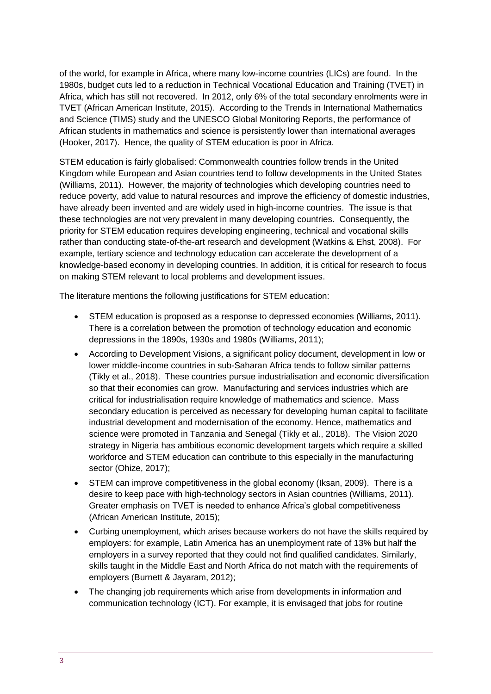of the world, for example in Africa, where many low-income countries (LICs) are found. In the 1980s, budget cuts led to a reduction in Technical Vocational Education and Training (TVET) in Africa, which has still not recovered. In 2012, only 6% of the total secondary enrolments were in TVET (African American Institute, 2015). According to the Trends in International Mathematics and Science (TIMS) study and the UNESCO Global Monitoring Reports, the performance of African students in mathematics and science is persistently lower than international averages (Hooker, 2017). Hence, the quality of STEM education is poor in Africa.

STEM education is fairly globalised: Commonwealth countries follow trends in the United Kingdom while European and Asian countries tend to follow developments in the United States (Williams, 2011). However, the majority of technologies which developing countries need to reduce poverty, add value to natural resources and improve the efficiency of domestic industries, have already been invented and are widely used in high-income countries. The issue is that these technologies are not very prevalent in many developing countries. Consequently, the priority for STEM education requires developing engineering, technical and vocational skills rather than conducting state-of-the-art research and development (Watkins & Ehst, 2008). For example, tertiary science and technology education can accelerate the development of a knowledge-based economy in developing countries. In addition, it is critical for research to focus on making STEM relevant to local problems and development issues.

The literature mentions the following justifications for STEM education:

- STEM education is proposed as a response to depressed economies (Williams, 2011). There is a correlation between the promotion of technology education and economic depressions in the 1890s, 1930s and 1980s (Williams, 2011);
- According to Development Visions, a significant policy document, development in low or lower middle-income countries in sub-Saharan Africa tends to follow similar patterns (Tikly et al., 2018). These countries pursue industrialisation and economic diversification so that their economies can grow. Manufacturing and services industries which are critical for industrialisation require knowledge of mathematics and science. Mass secondary education is perceived as necessary for developing human capital to facilitate industrial development and modernisation of the economy. Hence, mathematics and science were promoted in Tanzania and Senegal (Tikly et al., 2018). The Vision 2020 strategy in Nigeria has ambitious economic development targets which require a skilled workforce and STEM education can contribute to this especially in the manufacturing sector (Ohize, 2017);
- STEM can improve competitiveness in the global economy (Iksan, 2009). There is a desire to keep pace with high-technology sectors in Asian countries (Williams, 2011). Greater emphasis on TVET is needed to enhance Africa's global competitiveness (African American Institute, 2015);
- Curbing unemployment, which arises because workers do not have the skills required by employers: for example, Latin America has an unemployment rate of 13% but half the employers in a survey reported that they could not find qualified candidates. Similarly, skills taught in the Middle East and North Africa do not match with the requirements of employers (Burnett & Jayaram, 2012);
- The changing job requirements which arise from developments in information and communication technology (ICT). For example, it is envisaged that jobs for routine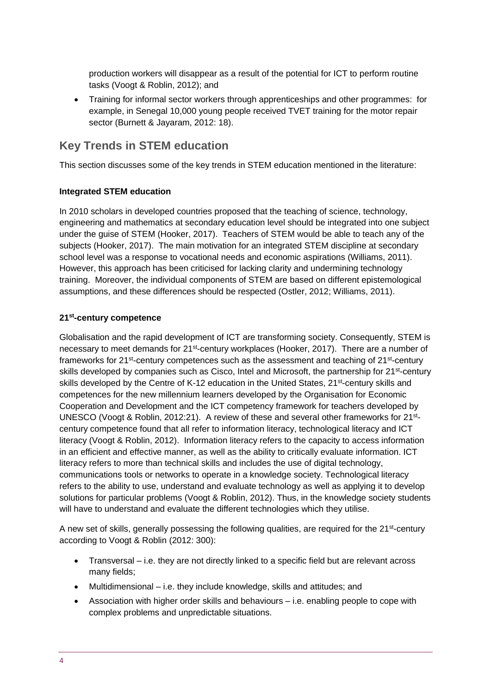production workers will disappear as a result of the potential for ICT to perform routine tasks (Voogt & Roblin, 2012); and

 Training for informal sector workers through apprenticeships and other programmes: for example, in Senegal 10,000 young people received TVET training for the motor repair sector (Burnett & Jayaram, 2012: 18).

## **Key Trends in STEM education**

This section discusses some of the key trends in STEM education mentioned in the literature:

#### **Integrated STEM education**

In 2010 scholars in developed countries proposed that the teaching of science, technology, engineering and mathematics at secondary education level should be integrated into one subject under the guise of STEM (Hooker, 2017). Teachers of STEM would be able to teach any of the subjects (Hooker, 2017). The main motivation for an integrated STEM discipline at secondary school level was a response to vocational needs and economic aspirations (Williams, 2011). However, this approach has been criticised for lacking clarity and undermining technology training. Moreover, the individual components of STEM are based on different epistemological assumptions, and these differences should be respected (Ostler, 2012; Williams, 2011).

#### **21st-century competence**

Globalisation and the rapid development of ICT are transforming society. Consequently, STEM is necessary to meet demands for 21<sup>st</sup>-century workplaces (Hooker, 2017). There are a number of frameworks for 21<sup>st</sup>-century competences such as the assessment and teaching of 21<sup>st</sup>-century skills developed by companies such as Cisco, Intel and Microsoft, the partnership for 21<sup>st</sup>-century skills developed by the Centre of K-12 education in the United States, 21<sup>st</sup>-century skills and competences for the new millennium learners developed by the Organisation for Economic Cooperation and Development and the ICT competency framework for teachers developed by UNESCO (Voogt & Roblin, 2012:21). A review of these and several other frameworks for 21<sup>st</sup>century competence found that all refer to information literacy, technological literacy and ICT literacy (Voogt & Roblin, 2012). Information literacy refers to the capacity to access information in an efficient and effective manner, as well as the ability to critically evaluate information. ICT literacy refers to more than technical skills and includes the use of digital technology, communications tools or networks to operate in a knowledge society. Technological literacy refers to the ability to use, understand and evaluate technology as well as applying it to develop solutions for particular problems (Voogt & Roblin, 2012). Thus, in the knowledge society students will have to understand and evaluate the different technologies which they utilise.

A new set of skills, generally possessing the following qualities, are required for the 21<sup>st</sup>-century according to Voogt & Roblin (2012: 300):

- Transversal i.e. they are not directly linked to a specific field but are relevant across many fields;
- Multidimensional i.e. they include knowledge, skills and attitudes; and
- Association with higher order skills and behaviours i.e. enabling people to cope with complex problems and unpredictable situations.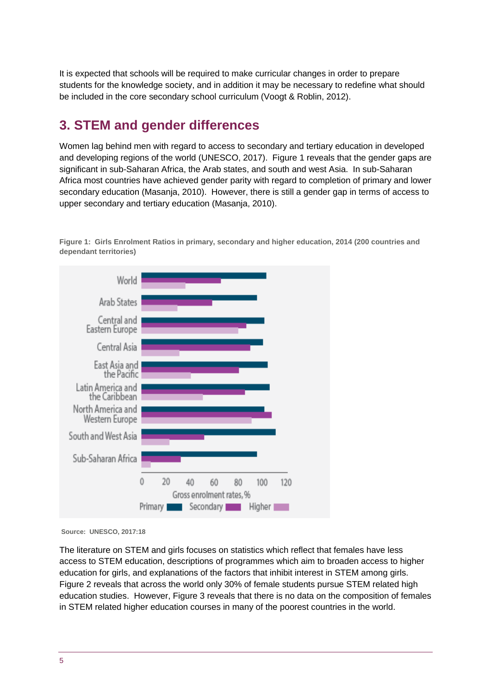It is expected that schools will be required to make curricular changes in order to prepare students for the knowledge society, and in addition it may be necessary to redefine what should be included in the core secondary school curriculum (Voogt & Roblin, 2012).

# **3. STEM and gender differences**

Women lag behind men with regard to access to secondary and tertiary education in developed and developing regions of the world (UNESCO, 2017). Figure 1 reveals that the gender gaps are significant in sub-Saharan Africa, the Arab states, and south and west Asia. In sub-Saharan Africa most countries have achieved gender parity with regard to completion of primary and lower secondary education (Masanja, 2010). However, there is still a gender gap in terms of access to upper secondary and tertiary education (Masanja, 2010).

**Figure 1: Girls Enrolment Ratios in primary, secondary and higher education, 2014 (200 countries and dependant territories)**



**Source: UNESCO, 2017:18**

The literature on STEM and girls focuses on statistics which reflect that females have less access to STEM education, descriptions of programmes which aim to broaden access to higher education for girls, and explanations of the factors that inhibit interest in STEM among girls. Figure 2 reveals that across the world only 30% of female students pursue STEM related high education studies. However, Figure 3 reveals that there is no data on the composition of females in STEM related higher education courses in many of the poorest countries in the world.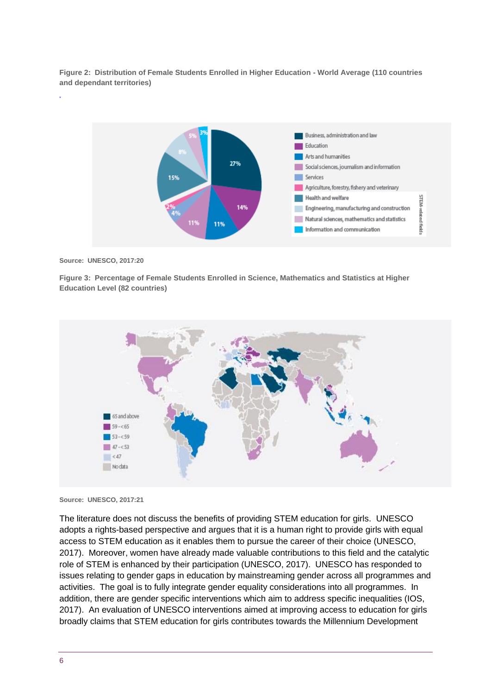**Figure 2: Distribution of Female Students Enrolled in Higher Education - World Average (110 countries and dependant territories)**



**Source: UNESCO, 2017:20**

**Figure 3: Percentage of Female Students Enrolled in Science, Mathematics and Statistics at Higher Education Level (82 countries)**



**Source: UNESCO, 2017:21**

The literature does not discuss the benefits of providing STEM education for girls. UNESCO adopts a rights-based perspective and argues that it is a human right to provide girls with equal access to STEM education as it enables them to pursue the career of their choice (UNESCO, 2017). Moreover, women have already made valuable contributions to this field and the catalytic role of STEM is enhanced by their participation (UNESCO, 2017). UNESCO has responded to issues relating to gender gaps in education by mainstreaming gender across all programmes and activities. The goal is to fully integrate gender equality considerations into all programmes. In addition, there are gender specific interventions which aim to address specific inequalities (IOS, 2017). An evaluation of UNESCO interventions aimed at improving access to education for girls broadly claims that STEM education for girls contributes towards the Millennium Development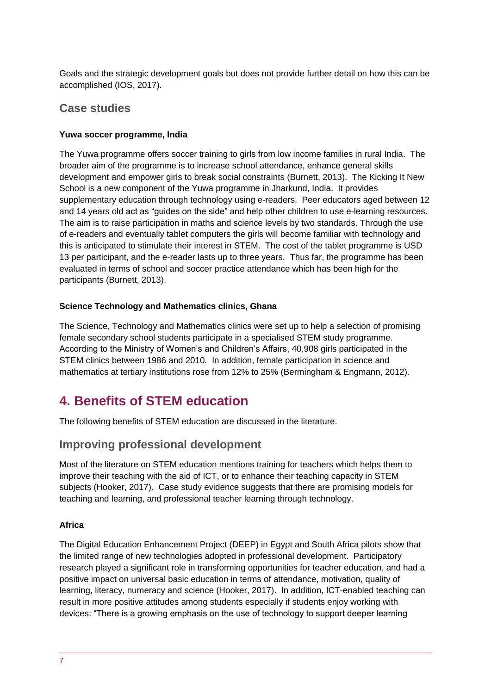Goals and the strategic development goals but does not provide further detail on how this can be accomplished (IOS, 2017).

#### **Case studies**

#### **Yuwa soccer programme, India**

The Yuwa programme offers soccer training to girls from low income families in rural India. The broader aim of the programme is to increase school attendance, enhance general skills development and empower girls to break social constraints (Burnett, 2013). The Kicking It New School is a new component of the Yuwa programme in Jharkund, India. It provides supplementary education through technology using e-readers. Peer educators aged between 12 and 14 years old act as "guides on the side" and help other children to use e-learning resources. The aim is to raise participation in maths and science levels by two standards. Through the use of e-readers and eventually tablet computers the girls will become familiar with technology and this is anticipated to stimulate their interest in STEM. The cost of the tablet programme is USD 13 per participant, and the e-reader lasts up to three years. Thus far, the programme has been evaluated in terms of school and soccer practice attendance which has been high for the participants (Burnett, 2013).

#### **Science Technology and Mathematics clinics, Ghana**

The Science, Technology and Mathematics clinics were set up to help a selection of promising female secondary school students participate in a specialised STEM study programme. According to the Ministry of Women's and Children's Affairs, 40,908 girls participated in the STEM clinics between 1986 and 2010. In addition, female participation in science and mathematics at tertiary institutions rose from 12% to 25% (Bermingham & Engmann, 2012).

# **4. Benefits of STEM education**

The following benefits of STEM education are discussed in the literature.

### **Improving professional development**

Most of the literature on STEM education mentions training for teachers which helps them to improve their teaching with the aid of ICT, or to enhance their teaching capacity in STEM subjects (Hooker, 2017). Case study evidence suggests that there are promising models for teaching and learning, and professional teacher learning through technology.

#### **Africa**

The Digital Education Enhancement Project (DEEP) in Egypt and South Africa pilots show that the limited range of new technologies adopted in professional development. Participatory research played a significant role in transforming opportunities for teacher education, and had a positive impact on universal basic education in terms of attendance, motivation, quality of learning, literacy, numeracy and science (Hooker, 2017). In addition, ICT-enabled teaching can result in more positive attitudes among students especially if students enjoy working with devices: "There is a growing emphasis on the use of technology to support deeper learning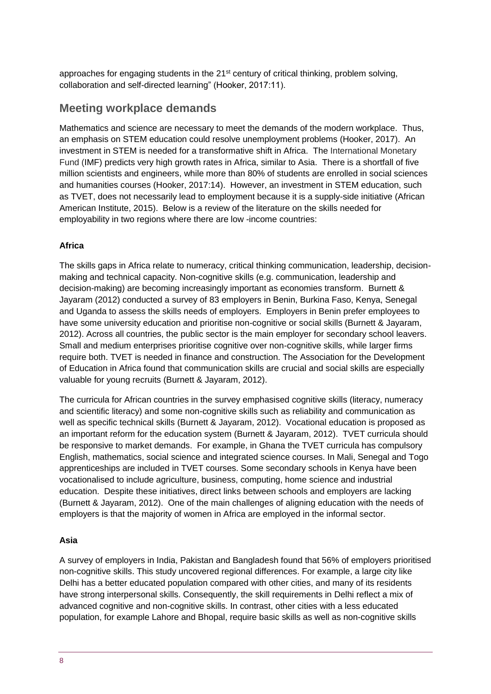approaches for engaging students in the  $21<sup>st</sup>$  century of critical thinking, problem solving, collaboration and self-directed learning" (Hooker, 2017:11).

## **Meeting workplace demands**

Mathematics and science are necessary to meet the demands of the modern workplace. Thus, an emphasis on STEM education could resolve unemployment problems (Hooker, 2017). An investment in STEM is needed for a transformative shift in Africa. The International Monetary Fund (IMF) predicts very high growth rates in Africa, similar to Asia. There is a shortfall of five million scientists and engineers, while more than 80% of students are enrolled in social sciences and humanities courses (Hooker, 2017:14). However, an investment in STEM education, such as TVET, does not necessarily lead to employment because it is a supply-side initiative (African American Institute, 2015). Below is a review of the literature on the skills needed for employability in two regions where there are low -income countries:

#### **Africa**

The skills gaps in Africa relate to numeracy, critical thinking communication, leadership, decisionmaking and technical capacity. Non-cognitive skills (e.g. communication, leadership and decision-making) are becoming increasingly important as economies transform. Burnett & Jayaram (2012) conducted a survey of 83 employers in Benin, Burkina Faso, Kenya, Senegal and Uganda to assess the skills needs of employers. Employers in Benin prefer employees to have some university education and prioritise non-cognitive or social skills (Burnett & Jayaram, 2012). Across all countries, the public sector is the main employer for secondary school leavers. Small and medium enterprises prioritise cognitive over non-cognitive skills, while larger firms require both. TVET is needed in finance and construction. The Association for the Development of Education in Africa found that communication skills are crucial and social skills are especially valuable for young recruits (Burnett & Jayaram, 2012).

The curricula for African countries in the survey emphasised cognitive skills (literacy, numeracy and scientific literacy) and some non-cognitive skills such as reliability and communication as well as specific technical skills (Burnett & Jayaram, 2012). Vocational education is proposed as an important reform for the education system (Burnett & Jayaram, 2012). TVET curricula should be responsive to market demands. For example, in Ghana the TVET curricula has compulsory English, mathematics, social science and integrated science courses. In Mali, Senegal and Togo apprenticeships are included in TVET courses. Some secondary schools in Kenya have been vocationalised to include agriculture, business, computing, home science and industrial education. Despite these initiatives, direct links between schools and employers are lacking (Burnett & Jayaram, 2012). One of the main challenges of aligning education with the needs of employers is that the majority of women in Africa are employed in the informal sector.

#### **Asia**

A survey of employers in India, Pakistan and Bangladesh found that 56% of employers prioritised non-cognitive skills. This study uncovered regional differences. For example, a large city like Delhi has a better educated population compared with other cities, and many of its residents have strong interpersonal skills. Consequently, the skill requirements in Delhi reflect a mix of advanced cognitive and non-cognitive skills. In contrast, other cities with a less educated population, for example Lahore and Bhopal, require basic skills as well as non-cognitive skills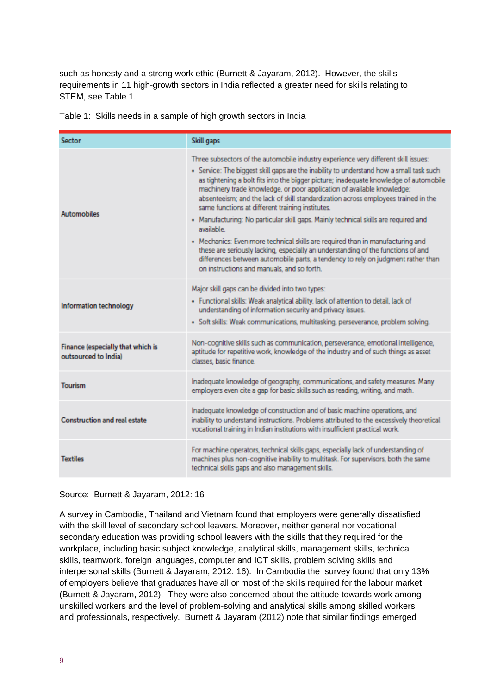such as honesty and a strong work ethic (Burnett & Jayaram, 2012). However, the skills requirements in 11 high-growth sectors in India reflected a greater need for skills relating to STEM, see Table 1.

|  | Table 1: Skills needs in a sample of high growth sectors in India |  |  |  |  |  |
|--|-------------------------------------------------------------------|--|--|--|--|--|
|--|-------------------------------------------------------------------|--|--|--|--|--|

| <b>Sector</b>                                             | Skill gaps                                                                                                                                                                                                                                                                                                                                                                                                                                                                                                                                                                                                                                                                                                                                                                                                                                                                                               |  |  |  |
|-----------------------------------------------------------|----------------------------------------------------------------------------------------------------------------------------------------------------------------------------------------------------------------------------------------------------------------------------------------------------------------------------------------------------------------------------------------------------------------------------------------------------------------------------------------------------------------------------------------------------------------------------------------------------------------------------------------------------------------------------------------------------------------------------------------------------------------------------------------------------------------------------------------------------------------------------------------------------------|--|--|--|
| <b>Automobiles</b>                                        | Three subsectors of the automobile industry experience very different skill issues:<br>. Service: The biggest skill gaps are the inability to understand how a small task such<br>as tightening a bolt fits into the bigger picture; inadequate knowledge of automobile<br>machinery trade knowledge, or poor application of available knowledge;<br>absenteeism; and the lack of skill standardization across employees trained in the<br>same functions at different training institutes.<br>. Manufacturing: No particular skill gaps. Mainly technical skills are required and<br>available.<br>. Mechanics: Even more technical skills are required than in manufacturing and<br>these are seriously lacking, especially an understanding of the functions of and<br>differences between automobile parts, a tendency to rely on judgment rather than<br>on instructions and manuals, and so forth. |  |  |  |
| Information technology                                    | Major skill gaps can be divided into two types:<br>· Functional skills: Weak analytical ability, lack of attention to detail, lack of<br>understanding of information security and privacy issues.<br>· Soft skills: Weak communications, multitasking, perseverance, problem solving.                                                                                                                                                                                                                                                                                                                                                                                                                                                                                                                                                                                                                   |  |  |  |
| Finance (especially that which is<br>outsourced to Indial | Non-cognitive skills such as communication, perseverance, emotional intelligence,<br>aptitude for repetitive work, knowledge of the industry and of such things as asset<br>classes, basic finance.                                                                                                                                                                                                                                                                                                                                                                                                                                                                                                                                                                                                                                                                                                      |  |  |  |
| <b>Tourism</b>                                            | Inadequate knowledge of geography, communications, and safety measures. Many<br>employers even cite a gap for basic skills such as reading, writing, and math.                                                                                                                                                                                                                                                                                                                                                                                                                                                                                                                                                                                                                                                                                                                                           |  |  |  |
| <b>Construction and real estate</b>                       | Inadequate knowledge of construction and of basic machine operations, and<br>inability to understand instructions. Problems attributed to the excessively theoretical<br>vocational training in Indian institutions with insufficient practical work.                                                                                                                                                                                                                                                                                                                                                                                                                                                                                                                                                                                                                                                    |  |  |  |
| <b>Textiles</b>                                           | For machine operators, technical skills gaps, especially lack of understanding of<br>machines plus non-cognitive inability to multitask. For supervisors, both the same<br>technical skills gaps and also management skills.                                                                                                                                                                                                                                                                                                                                                                                                                                                                                                                                                                                                                                                                             |  |  |  |

Source: Burnett & Jayaram, 2012: 16

A survey in Cambodia, Thailand and Vietnam found that employers were generally dissatisfied with the skill level of secondary school leavers. Moreover, neither general nor vocational secondary education was providing school leavers with the skills that they required for the workplace, including basic subject knowledge, analytical skills, management skills, technical skills, teamwork, foreign languages, computer and ICT skills, problem solving skills and interpersonal skills (Burnett & Jayaram, 2012: 16). In Cambodia the survey found that only 13% of employers believe that graduates have all or most of the skills required for the labour market (Burnett & Jayaram, 2012). They were also concerned about the attitude towards work among unskilled workers and the level of problem-solving and analytical skills among skilled workers and professionals, respectively. Burnett & Jayaram (2012) note that similar findings emerged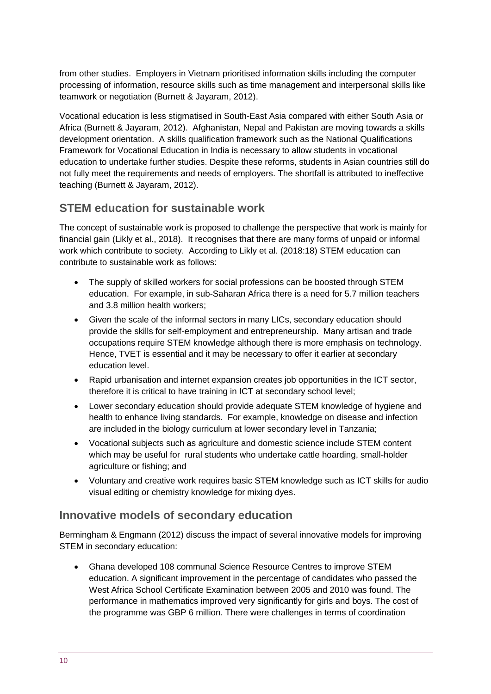from other studies. Employers in Vietnam prioritised information skills including the computer processing of information, resource skills such as time management and interpersonal skills like teamwork or negotiation (Burnett & Jayaram, 2012).

Vocational education is less stigmatised in South-East Asia compared with either South Asia or Africa (Burnett & Jayaram, 2012). Afghanistan, Nepal and Pakistan are moving towards a skills development orientation. A skills qualification framework such as the National Qualifications Framework for Vocational Education in India is necessary to allow students in vocational education to undertake further studies. Despite these reforms, students in Asian countries still do not fully meet the requirements and needs of employers. The shortfall is attributed to ineffective teaching (Burnett & Jayaram, 2012).

## **STEM education for sustainable work**

The concept of sustainable work is proposed to challenge the perspective that work is mainly for financial gain (Likly et al., 2018). It recognises that there are many forms of unpaid or informal work which contribute to society. According to Likly et al. (2018:18) STEM education can contribute to sustainable work as follows:

- The supply of skilled workers for social professions can be boosted through STEM education. For example, in sub-Saharan Africa there is a need for 5.7 million teachers and 3.8 million health workers;
- Given the scale of the informal sectors in many LICs, secondary education should provide the skills for self-employment and entrepreneurship. Many artisan and trade occupations require STEM knowledge although there is more emphasis on technology. Hence, TVET is essential and it may be necessary to offer it earlier at secondary education level.
- Rapid urbanisation and internet expansion creates job opportunities in the ICT sector, therefore it is critical to have training in ICT at secondary school level;
- Lower secondary education should provide adequate STEM knowledge of hygiene and health to enhance living standards. For example, knowledge on disease and infection are included in the biology curriculum at lower secondary level in Tanzania;
- Vocational subjects such as agriculture and domestic science include STEM content which may be useful for rural students who undertake cattle hoarding, small-holder agriculture or fishing; and
- Voluntary and creative work requires basic STEM knowledge such as ICT skills for audio visual editing or chemistry knowledge for mixing dyes.

### **Innovative models of secondary education**

Bermingham & Engmann (2012) discuss the impact of several innovative models for improving STEM in secondary education:

 Ghana developed 108 communal Science Resource Centres to improve STEM education. A significant improvement in the percentage of candidates who passed the West Africa School Certificate Examination between 2005 and 2010 was found. The performance in mathematics improved very significantly for girls and boys. The cost of the programme was GBP 6 million. There were challenges in terms of coordination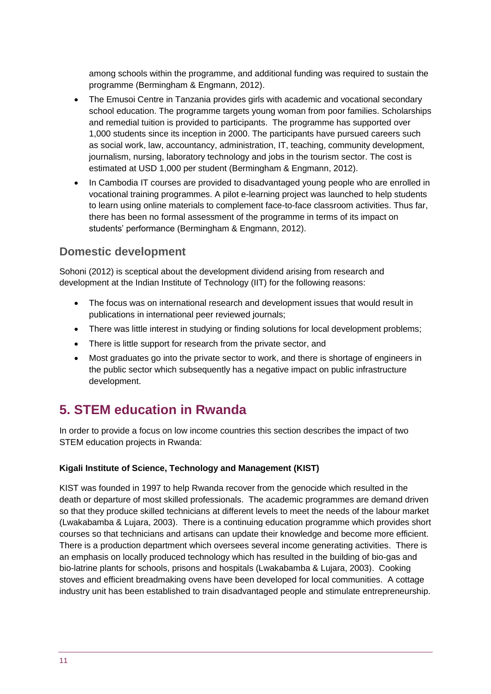among schools within the programme, and additional funding was required to sustain the programme (Bermingham & Engmann, 2012).

- The Emusoi Centre in Tanzania provides girls with academic and vocational secondary school education. The programme targets young woman from poor families. Scholarships and remedial tuition is provided to participants. The programme has supported over 1,000 students since its inception in 2000. The participants have pursued careers such as social work, law, accountancy, administration, IT, teaching, community development, journalism, nursing, laboratory technology and jobs in the tourism sector. The cost is estimated at USD 1,000 per student (Bermingham & Engmann, 2012).
- In Cambodia IT courses are provided to disadvantaged young people who are enrolled in vocational training programmes. A pilot e-learning project was launched to help students to learn using online materials to complement face-to-face classroom activities. Thus far, there has been no formal assessment of the programme in terms of its impact on students' performance (Bermingham & Engmann, 2012).

## **Domestic development**

Sohoni (2012) is sceptical about the development dividend arising from research and development at the Indian Institute of Technology (IIT) for the following reasons:

- The focus was on international research and development issues that would result in publications in international peer reviewed journals;
- There was little interest in studying or finding solutions for local development problems;
- There is little support for research from the private sector, and
- Most graduates go into the private sector to work, and there is shortage of engineers in the public sector which subsequently has a negative impact on public infrastructure development.

# **5. STEM education in Rwanda**

In order to provide a focus on low income countries this section describes the impact of two STEM education projects in Rwanda:

#### **Kigali Institute of Science, Technology and Management (KIST)**

KIST was founded in 1997 to help Rwanda recover from the genocide which resulted in the death or departure of most skilled professionals. The academic programmes are demand driven so that they produce skilled technicians at different levels to meet the needs of the labour market (Lwakabamba & Lujara, 2003). There is a continuing education programme which provides short courses so that technicians and artisans can update their knowledge and become more efficient. There is a production department which oversees several income generating activities. There is an emphasis on locally produced technology which has resulted in the building of bio-gas and bio-latrine plants for schools, prisons and hospitals (Lwakabamba & Lujara, 2003). Cooking stoves and efficient breadmaking ovens have been developed for local communities. A cottage industry unit has been established to train disadvantaged people and stimulate entrepreneurship.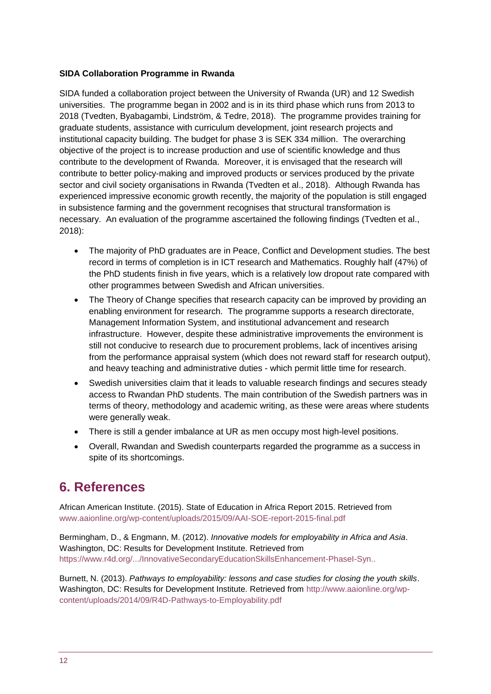#### **SIDA Collaboration Programme in Rwanda**

SIDA funded a collaboration project between the University of Rwanda (UR) and 12 Swedish universities. The programme began in 2002 and is in its third phase which runs from 2013 to 2018 (Tvedten, Byabagambi, Lindström, & Tedre, 2018). The programme provides training for graduate students, assistance with curriculum development, joint research projects and institutional capacity building. The budget for phase 3 is SEK 334 million. The overarching objective of the project is to increase production and use of scientific knowledge and thus contribute to the development of Rwanda. Moreover, it is envisaged that the research will contribute to better policy-making and improved products or services produced by the private sector and civil society organisations in Rwanda (Tvedten et al., 2018). Although Rwanda has experienced impressive economic growth recently, the majority of the population is still engaged in subsistence farming and the government recognises that structural transformation is necessary. An evaluation of the programme ascertained the following findings (Tvedten et al., 2018):

- The majority of PhD graduates are in Peace, Conflict and Development studies. The best record in terms of completion is in ICT research and Mathematics. Roughly half (47%) of the PhD students finish in five years, which is a relatively low dropout rate compared with other programmes between Swedish and African universities.
- The Theory of Change specifies that research capacity can be improved by providing an enabling environment for research. The programme supports a research directorate, Management Information System, and institutional advancement and research infrastructure. However, despite these administrative improvements the environment is still not conducive to research due to procurement problems, lack of incentives arising from the performance appraisal system (which does not reward staff for research output), and heavy teaching and administrative duties - which permit little time for research.
- Swedish universities claim that it leads to valuable research findings and secures steady access to Rwandan PhD students. The main contribution of the Swedish partners was in terms of theory, methodology and academic writing, as these were areas where students were generally weak.
- There is still a gender imbalance at UR as men occupy most high-level positions.
- Overall, Rwandan and Swedish counterparts regarded the programme as a success in spite of its shortcomings.

# **6. References**

African American Institute. (2015). State of Education in Africa Report 2015. Retrieved from www.aaionline.org/wp-content/uploads/2015/09/AAI-SOE-report-2015-final.pdf

Bermingham, D., & Engmann, M. (2012). *Innovative models for employability in Africa and Asia*. Washington, DC: Results for Development Institute. Retrieved from https://www.r4d.org/.../InnovativeSecondaryEducationSkillsEnhancement-PhaseI-Syn..

Burnett, N. (2013). *Pathways to employability: lessons and case studies for closing the youth skills*. Washington, DC: Results for Development Institute. Retrieved from http://www.aaionline.org/wpcontent/uploads/2014/09/R4D-Pathways-to-Employability.pdf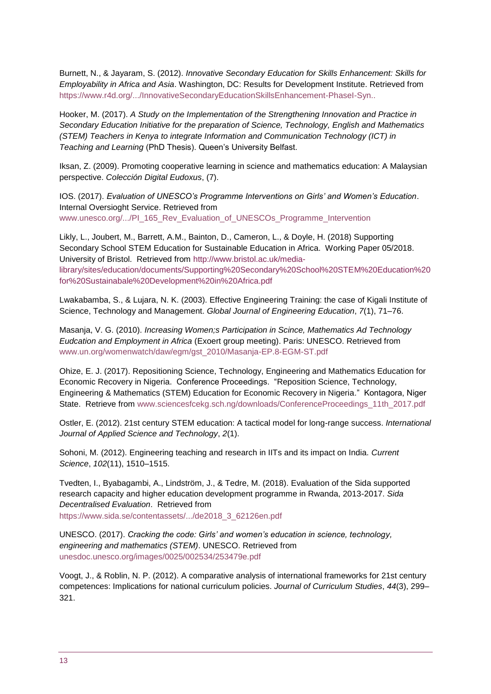Burnett, N., & Jayaram, S. (2012). *Innovative Secondary Education for Skills Enhancement: Skills for Employability in Africa and Asia*. Washington, DC: Results for Development Institute. Retrieved from https://www.r4d.org/.../InnovativeSecondaryEducationSkillsEnhancement-PhaseI-Syn..

Hooker, M. (2017). *A Study on the Implementation of the Strengthening Innovation and Practice in Secondary Education Initiative for the preparation of Science, Technology, English and Mathematics (STEM) Teachers in Kenya to integrate Information and Communication Technology (ICT) in Teaching and Learning* (PhD Thesis). Queen's University Belfast.

Iksan, Z. (2009). Promoting cooperative learning in science and mathematics education: A Malaysian perspective. *Colección Digital Eudoxus*, (7).

IOS. (2017). *Evaluation of UNESCO's Programme Interventions on Girls' and Women's Education*. Internal Oversioght Service. Retrieved from www.unesco.org/.../PI\_165\_Rev\_Evaluation\_of\_UNESCOs\_Programme\_Intervention

Likly, L., Joubert, M., Barrett, A.M., Bainton, D., Cameron, L., & Doyle, H. (2018) Supporting Secondary School STEM Education for Sustainable Education in Africa. Working Paper 05/2018. University of Bristol. Retrieved from [http://www.bristol.ac.uk/media](http://www.bristol.ac.uk/media-library/sites/education/documents/Supporting%20Secondary%20School%20STEM%20Education%20for%20Sustainabale%20Development%20in%20Africa.pdf)[library/sites/education/documents/Supporting%20Secondary%20School%20STEM%20Education%20](http://www.bristol.ac.uk/media-library/sites/education/documents/Supporting%20Secondary%20School%20STEM%20Education%20for%20Sustainabale%20Development%20in%20Africa.pdf) [for%20Sustainabale%20Development%20in%20Africa.pdf](http://www.bristol.ac.uk/media-library/sites/education/documents/Supporting%20Secondary%20School%20STEM%20Education%20for%20Sustainabale%20Development%20in%20Africa.pdf)

Lwakabamba, S., & Lujara, N. K. (2003). Effective Engineering Training: the case of Kigali Institute of Science, Technology and Management. *Global Journal of Engineering Education*, *7*(1), 71–76.

Masanja, V. G. (2010). *Increasing Women;s Participation in Scince, Mathematics Ad Technology Eudcation and Employment in Africa* (Exoert group meeting). Paris: UNESCO. Retrieved from www.un.org/womenwatch/daw/egm/gst\_2010/Masanja-EP.8-EGM-ST.pdf

Ohize, E. J. (2017). Repositioning Science, Technology, Engineering and Mathematics Education for Economic Recovery in Nigeria. Conference Proceedings. "Reposition Science, Technology, Engineering & Mathematics (STEM) Education for Economic Recovery in Nigeria." Kontagora, Niger State. Retrieve from www.sciencesfcekg.sch.ng/downloads/ConferenceProceedings\_11th\_2017.pdf

Ostler, E. (2012). 21st century STEM education: A tactical model for long-range success. *International Journal of Applied Science and Technology*, *2*(1).

Sohoni, M. (2012). Engineering teaching and research in IITs and its impact on India. *Current Science*, *102*(11), 1510–1515.

Tvedten, I., Byabagambi, A., Lindström, J., & Tedre, M. (2018). Evaluation of the Sida supported research capacity and higher education development programme in Rwanda, 2013-2017. *Sida Decentralised Evaluation*. Retrieved from

https://www.sida.se/contentassets/.../de2018\_3\_62126en.pdf

UNESCO. (2017). *Cracking the code: Girls' and women's education in science, technology, engineering and mathematics (STEM)*. UNESCO. Retrieved from unesdoc.unesco.org/images/0025/002534/253479e.pdf

Voogt, J., & Roblin, N. P. (2012). A comparative analysis of international frameworks for 21st century competences: Implications for national curriculum policies. *Journal of Curriculum Studies*, *44*(3), 299– 321.